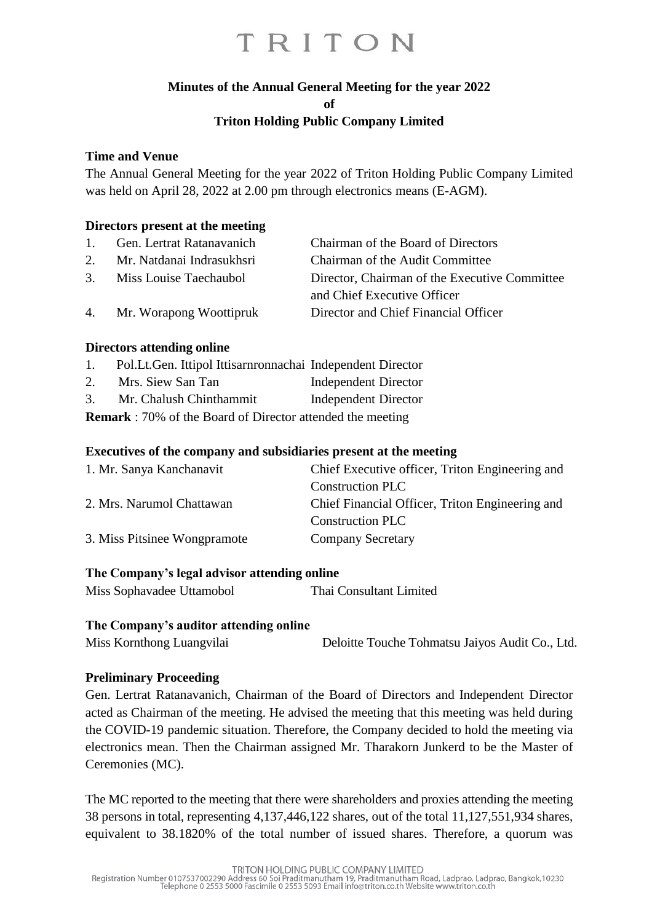### **Minutes of the Annual General Meeting for the year 2022**

**of**

### **Triton Holding Public Company Limited**

#### **Time and Venue**

The Annual General Meeting for the year 2022 of Triton Holding Public Company Limited was held on April 28, 2022 at 2.00 pm through electronics means (E-AGM).

#### **Directors present at the meeting**

| 1. | Gen. Lertrat Ratanavanich  | Chairman of the Board of Directors            |
|----|----------------------------|-----------------------------------------------|
| 2. | Mr. Natdanai Indrasukhsri  | Chairman of the Audit Committee               |
|    | 3. Miss Louise Taechaubol  | Director, Chairman of the Executive Committee |
|    |                            | and Chief Executive Officer                   |
|    | 4. Mr. Worapong Woottipruk | Director and Chief Financial Officer          |

#### **Directors attending online**

- 1. Pol.Lt.Gen. Ittipol Ittisarnronnachai Independent Director
- 2. Mrs. Siew San Tan Independent Director
- 3. Mr. Chalush Chinthammit Independent Director

**Remark** : 70% of the Board of Director attended the meeting

#### **Executives of the company and subsidiaries present at the meeting**

| 1. Mr. Sanya Kanchanavit     | Chief Executive officer, Triton Engineering and |
|------------------------------|-------------------------------------------------|
|                              | <b>Construction PLC</b>                         |
| 2. Mrs. Narumol Chattawan    | Chief Financial Officer, Triton Engineering and |
|                              | <b>Construction PLC</b>                         |
| 3. Miss Pitsinee Wongpramote | <b>Company Secretary</b>                        |
|                              |                                                 |

#### **The Company's legal advisor attending online**

Miss Sophavadee Uttamobol Thai Consultant Limited

#### **The Company's auditor attending online**

Miss Kornthong Luangvilai Deloitte Touche Tohmatsu Jaiyos Audit Co., Ltd.

### **Preliminary Proceeding**

Gen. Lertrat Ratanavanich, Chairman of the Board of Directors and Independent Director acted as Chairman of the meeting. He advised the meeting that this meeting was held during the COVID-19 pandemic situation. Therefore, the Company decided to hold the meeting via electronics mean. Then the Chairman assigned Mr. Tharakorn Junkerd to be the Master of Ceremonies (MC).

The MC reported to the meeting that there were shareholders and proxies attending the meeting 38 persons in total, representing 4,137,446,122 shares, out of the total 11,127,551,934 shares, equivalent to 38.1820% of the total number of issued shares. Therefore, a quorum was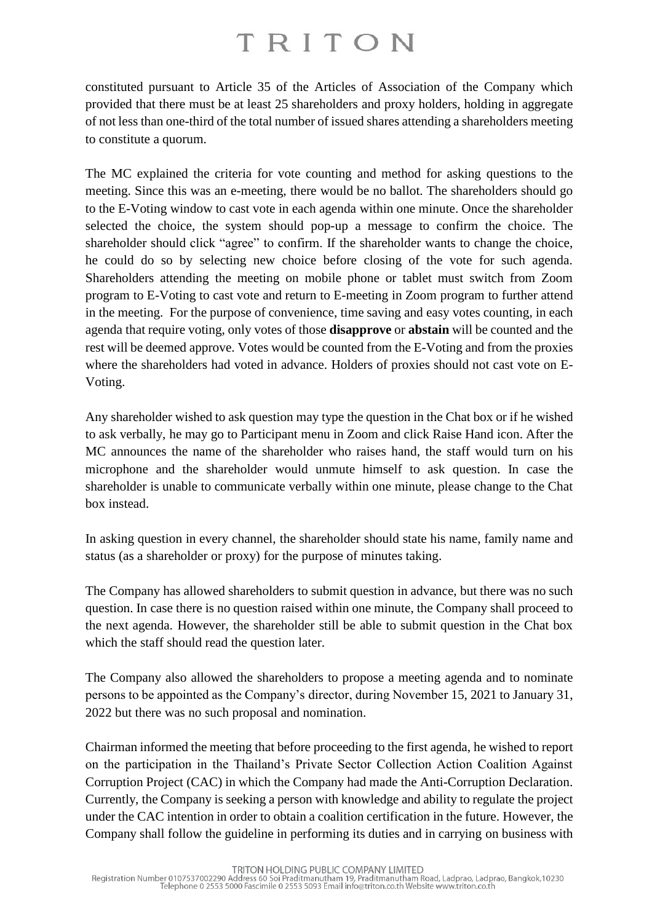constituted pursuant to Article 35 of the Articles of Association of the Company which provided that there must be at least 25 shareholders and proxy holders, holding in aggregate of not less than one-third of the total number of issued shares attending a shareholders meeting to constitute a quorum.

The MC explained the criteria for vote counting and method for asking questions to the meeting. Since this was an e-meeting, there would be no ballot. The shareholders should go to the E-Voting window to cast vote in each agenda within one minute. Once the shareholder selected the choice, the system should pop-up a message to confirm the choice. The shareholder should click "agree" to confirm. If the shareholder wants to change the choice, he could do so by selecting new choice before closing of the vote for such agenda. Shareholders attending the meeting on mobile phone or tablet must switch from Zoom program to E-Voting to cast vote and return to E-meeting in Zoom program to further attend in the meeting. For the purpose of convenience, time saving and easy votes counting, in each agenda that require voting, only votes of those **disapprove** or **abstain** will be counted and the rest will be deemed approve. Votes would be counted from the E-Voting and from the proxies where the shareholders had voted in advance. Holders of proxies should not cast vote on E-Voting.

Any shareholder wished to ask question may type the question in the Chat box or if he wished to ask verbally, he may go to Participant menu in Zoom and click Raise Hand icon. After the MC announces the name of the shareholder who raises hand, the staff would turn on his microphone and the shareholder would unmute himself to ask question. In case the shareholder is unable to communicate verbally within one minute, please change to the Chat box instead.

In asking question in every channel, the shareholder should state his name, family name and status (as a shareholder or proxy) for the purpose of minutes taking.

The Company has allowed shareholders to submit question in advance, but there was no such question. In case there is no question raised within one minute, the Company shall proceed to the next agenda. However, the shareholder still be able to submit question in the Chat box which the staff should read the question later.

The Company also allowed the shareholders to propose a meeting agenda and to nominate persons to be appointed as the Company's director, during November 15, 2021 to January 31, 2022 but there was no such proposal and nomination.

Chairman informed the meeting that before proceeding to the first agenda, he wished to report on the participation in the Thailand's Private Sector Collection Action Coalition Against Corruption Project (CAC) in which the Company had made the Anti-Corruption Declaration. Currently, the Company is seeking a person with knowledge and ability to regulate the project under the CAC intention in order to obtain a coalition certification in the future. However, the Company shall follow the guideline in performing its duties and in carrying on business with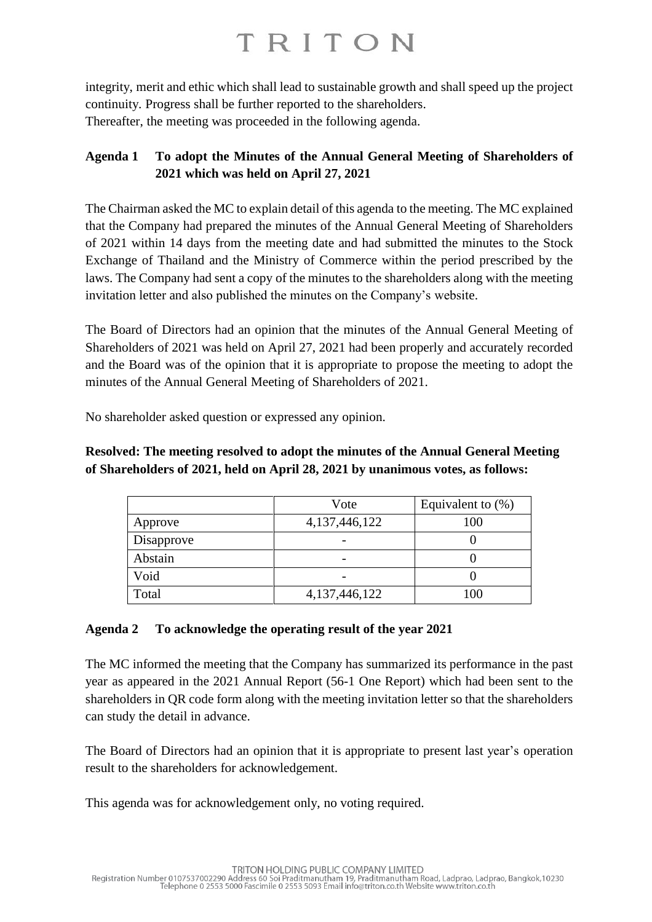integrity, merit and ethic which shall lead to sustainable growth and shall speed up the project continuity. Progress shall be further reported to the shareholders. Thereafter, the meeting was proceeded in the following agenda.

### **Agenda 1 To adopt the Minutes of the Annual General Meeting of Shareholders of 2021 which was held on April 27, 2021**

The Chairman asked the MC to explain detail of this agenda to the meeting. The MC explained that the Company had prepared the minutes of the Annual General Meeting of Shareholders of 2021 within 14 days from the meeting date and had submitted the minutes to the Stock Exchange of Thailand and the Ministry of Commerce within the period prescribed by the laws. The Company had sent a copy of the minutes to the shareholders along with the meeting invitation letter and also published the minutes on the Company's website.

The Board of Directors had an opinion that the minutes of the Annual General Meeting of Shareholders of 2021 was held on April 27, 2021 had been properly and accurately recorded and the Board was of the opinion that it is appropriate to propose the meeting to adopt the minutes of the Annual General Meeting of Shareholders of 2021.

No shareholder asked question or expressed any opinion.

### **Resolved: The meeting resolved to adopt the minutes of the Annual General Meeting of Shareholders of 2021, held on April 28, 2021 by unanimous votes, as follows:**

|            | Vote             | Equivalent to $(\%)$ |
|------------|------------------|----------------------|
| Approve    | 4, 137, 446, 122 | 100                  |
| Disapprove |                  |                      |
| Abstain    |                  |                      |
| Void       |                  |                      |
| Total      | 4, 137, 446, 122 | 100                  |

### **Agenda 2 To acknowledge the operating result of the year 2021**

The MC informed the meeting that the Company has summarized its performance in the past year as appeared in the 2021 Annual Report (56-1 One Report) which had been sent to the shareholders in QR code form along with the meeting invitation letter so that the shareholders can study the detail in advance.

The Board of Directors had an opinion that it is appropriate to present last year's operation result to the shareholders for acknowledgement.

This agenda was for acknowledgement only, no voting required.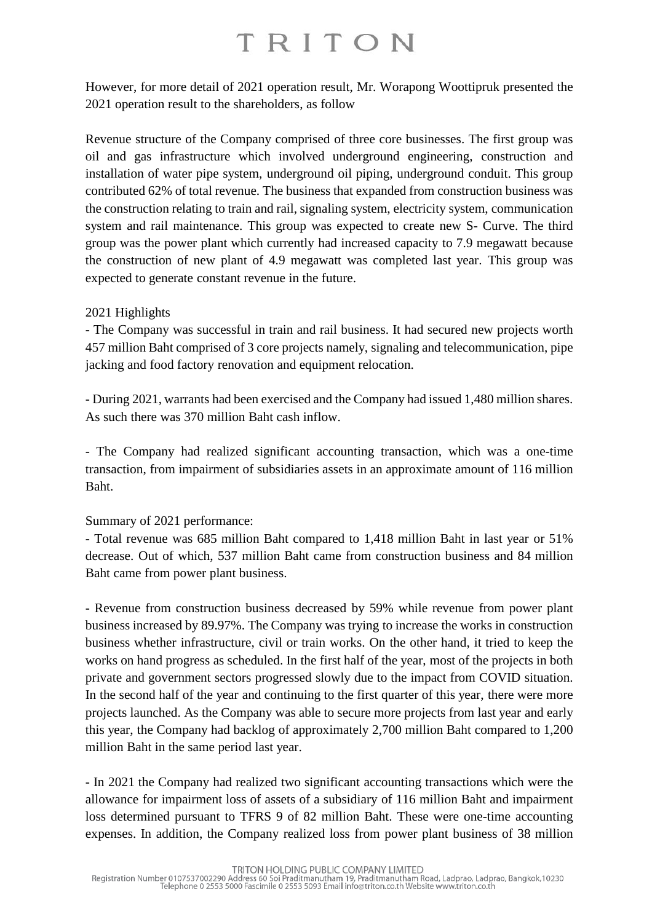However, for more detail of 2021 operation result, Mr. Worapong Woottipruk presented the 2021 operation result to the shareholders, as follow

Revenue structure of the Company comprised of three core businesses. The first group was oil and gas infrastructure which involved underground engineering, construction and installation of water pipe system, underground oil piping, underground conduit. This group contributed 62% of total revenue. The business that expanded from construction business was the construction relating to train and rail, signaling system, electricity system, communication system and rail maintenance. This group was expected to create new S- Curve. The third group was the power plant which currently had increased capacity to 7.9 megawatt because the construction of new plant of 4.9 megawatt was completed last year. This group was expected to generate constant revenue in the future.

### 2021 Highlights

- The Company was successful in train and rail business. It had secured new projects worth 457 million Baht comprised of 3 core projects namely, signaling and telecommunication, pipe jacking and food factory renovation and equipment relocation.

- During 2021, warrants had been exercised and the Company had issued 1,480 million shares. As such there was 370 million Baht cash inflow.

- The Company had realized significant accounting transaction, which was a one-time transaction, from impairment of subsidiaries assets in an approximate amount of 116 million Baht.

### Summary of 2021 performance:

- Total revenue was 685 million Baht compared to 1,418 million Baht in last year or 51% decrease. Out of which, 537 million Baht came from construction business and 84 million Baht came from power plant business.

- Revenue from construction business decreased by 59% while revenue from power plant business increased by 89.97%. The Company was trying to increase the works in construction business whether infrastructure, civil or train works. On the other hand, it tried to keep the works on hand progress as scheduled. In the first half of the year, most of the projects in both private and government sectors progressed slowly due to the impact from COVID situation. In the second half of the year and continuing to the first quarter of this year, there were more projects launched. As the Company was able to secure more projects from last year and early this year, the Company had backlog of approximately 2,700 million Baht compared to 1,200 million Baht in the same period last year.

- In 2021 the Company had realized two significant accounting transactions which were the allowance for impairment loss of assets of a subsidiary of 116 million Baht and impairment loss determined pursuant to TFRS 9 of 82 million Baht. These were one-time accounting expenses. In addition, the Company realized loss from power plant business of 38 million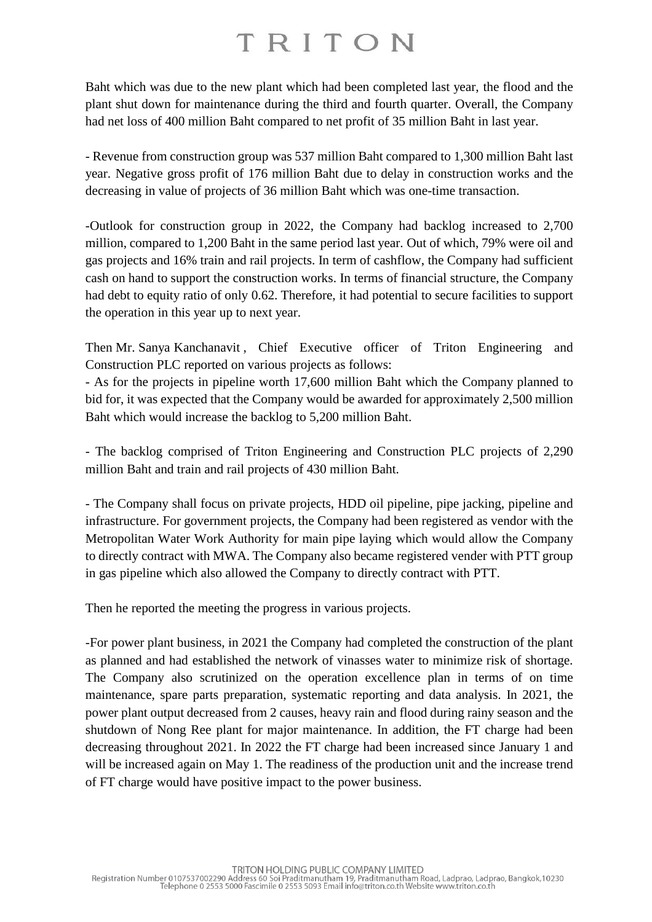Baht which was due to the new plant which had been completed last year, the flood and the plant shut down for maintenance during the third and fourth quarter. Overall, the Company had net loss of 400 million Baht compared to net profit of 35 million Baht in last year.

- Revenue from construction group was 537 million Baht compared to 1,300 million Baht last year. Negative gross profit of 176 million Baht due to delay in construction works and the decreasing in value of projects of 36 million Baht which was one-time transaction.

-Outlook for construction group in 2022, the Company had backlog increased to 2,700 million, compared to 1,200 Baht in the same period last year. Out of which, 79% were oil and gas projects and 16% train and rail projects. In term of cashflow, the Company had sufficient cash on hand to support the construction works. In terms of financial structure, the Company had debt to equity ratio of only 0.62. Therefore, it had potential to secure facilities to support the operation in this year up to next year.

Then Mr. Sanya Kanchanavit , Chief Executive officer of Triton Engineering and Construction PLC reported on various projects as follows:

- As for the projects in pipeline worth 17,600 million Baht which the Company planned to bid for, it was expected that the Company would be awarded for approximately 2,500 million Baht which would increase the backlog to 5,200 million Baht.

- The backlog comprised of Triton Engineering and Construction PLC projects of 2,290 million Baht and train and rail projects of 430 million Baht.

- The Company shall focus on private projects, HDD oil pipeline, pipe jacking, pipeline and infrastructure. For government projects, the Company had been registered as vendor with the Metropolitan Water Work Authority for main pipe laying which would allow the Company to directly contract with MWA. The Company also became registered vender with PTT group in gas pipeline which also allowed the Company to directly contract with PTT.

Then he reported the meeting the progress in various projects.

-For power plant business, in 2021 the Company had completed the construction of the plant as planned and had established the network of vinasses water to minimize risk of shortage. The Company also scrutinized on the operation excellence plan in terms of on time maintenance, spare parts preparation, systematic reporting and data analysis. In 2021, the power plant output decreased from 2 causes, heavy rain and flood during rainy season and the shutdown of Nong Ree plant for major maintenance. In addition, the FT charge had been decreasing throughout 2021. In 2022 the FT charge had been increased since January 1 and will be increased again on May 1. The readiness of the production unit and the increase trend of FT charge would have positive impact to the power business.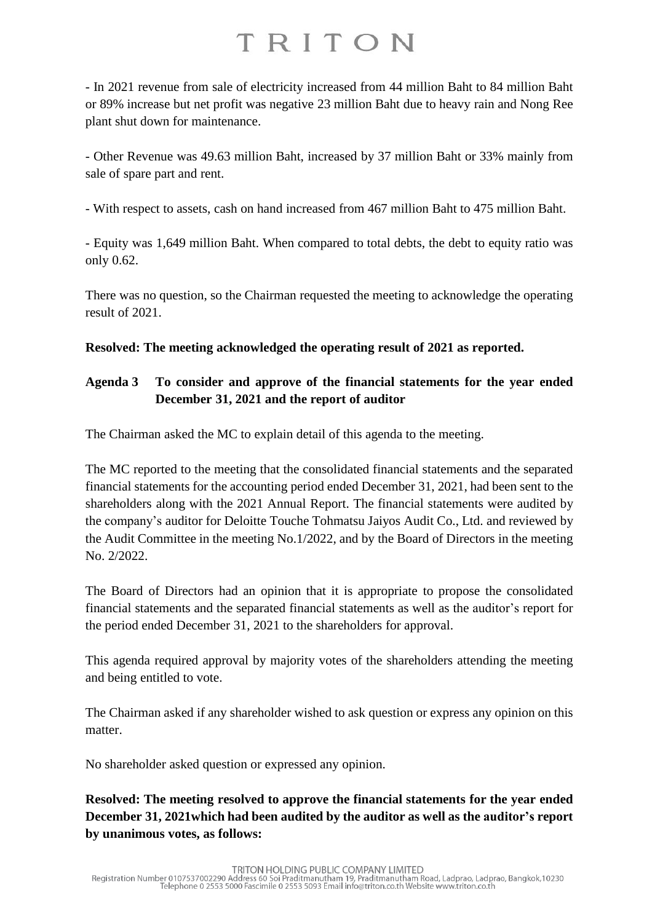- In 2021 revenue from sale of electricity increased from 44 million Baht to 84 million Baht or 89% increase but net profit was negative 23 million Baht due to heavy rain and Nong Ree plant shut down for maintenance.

- Other Revenue was 49.63 million Baht, increased by 37 million Baht or 33% mainly from sale of spare part and rent.

- With respect to assets, cash on hand increased from 467 million Baht to 475 million Baht.

- Equity was 1,649 million Baht. When compared to total debts, the debt to equity ratio was only 0.62.

There was no question, so the Chairman requested the meeting to acknowledge the operating result of 2021.

**Resolved: The meeting acknowledged the operating result of 2021 as reported.**

### **Agenda 3 To consider and approve of the financial statements for the year ended December 31, 2021 and the report of auditor**

The Chairman asked the MC to explain detail of this agenda to the meeting.

The MC reported to the meeting that the consolidated financial statements and the separated financial statements for the accounting period ended December 31, 2021, had been sent to the shareholders along with the 2021 Annual Report. The financial statements were audited by the company's auditor for Deloitte Touche Tohmatsu Jaiyos Audit Co., Ltd. and reviewed by the Audit Committee in the meeting No.1/2022, and by the Board of Directors in the meeting No. 2/2022.

The Board of Directors had an opinion that it is appropriate to propose the consolidated financial statements and the separated financial statements as well as the auditor's report for the period ended December 31, 2021 to the shareholders for approval.

This agenda required approval by majority votes of the shareholders attending the meeting and being entitled to vote.

The Chairman asked if any shareholder wished to ask question or express any opinion on this matter.

No shareholder asked question or expressed any opinion.

**Resolved: The meeting resolved to approve the financial statements for the year ended December 31, 2021which had been audited by the auditor as well as the auditor's report by unanimous votes, as follows:**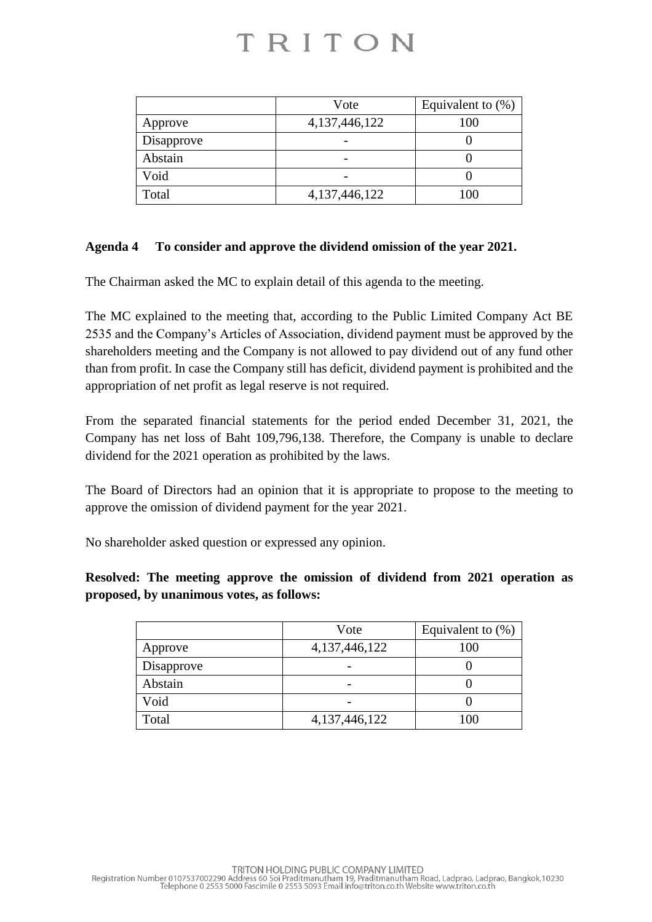|            | Vote             | Equivalent to $(\%)$ |
|------------|------------------|----------------------|
| Approve    | 4,137,446,122    | 100                  |
| Disapprove |                  |                      |
| Abstain    |                  |                      |
| Void       |                  |                      |
| Total      | 4, 137, 446, 122 | 100                  |

### **Agenda 4 To consider and approve the dividend omission of the year 2021.**

The Chairman asked the MC to explain detail of this agenda to the meeting.

The MC explained to the meeting that, according to the Public Limited Company Act BE 2535 and the Company's Articles of Association, dividend payment must be approved by the shareholders meeting and the Company is not allowed to pay dividend out of any fund other than from profit. In case the Company still has deficit, dividend payment is prohibited and the appropriation of net profit as legal reserve is not required.

From the separated financial statements for the period ended December 31, 2021, the Company has net loss of Baht 109,796,138. Therefore, the Company is unable to declare dividend for the 2021 operation as prohibited by the laws.

The Board of Directors had an opinion that it is appropriate to propose to the meeting to approve the omission of dividend payment for the year 2021.

No shareholder asked question or expressed any opinion.

**Resolved: The meeting approve the omission of dividend from 2021 operation as proposed, by unanimous votes, as follows:**

|            | Vote             | Equivalent to $(\%)$ |
|------------|------------------|----------------------|
| Approve    | 4, 137, 446, 122 | 100                  |
| Disapprove |                  |                      |
| Abstain    |                  |                      |
| Void       |                  |                      |
| Total      | 4,137,446,122    | 100                  |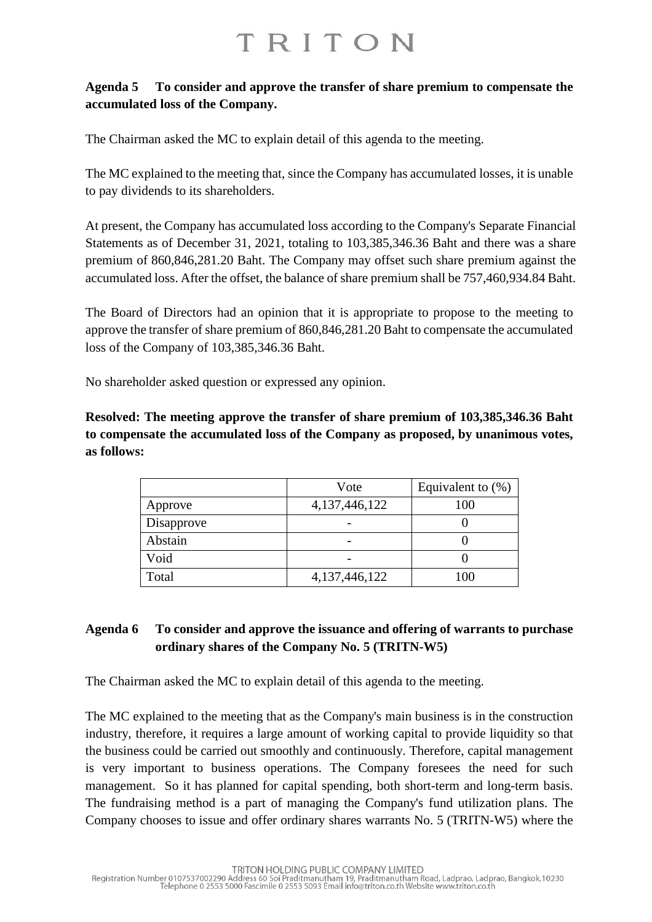### **Agenda 5 To consider and approve the transfer of share premium to compensate the accumulated loss of the Company.**

The Chairman asked the MC to explain detail of this agenda to the meeting.

The MC explained to the meeting that, since the Company has accumulated losses, it is unable to pay dividends to its shareholders.

At present, the Company has accumulated loss according to the Company's Separate Financial Statements as of December 31, 2021, totaling to 103,385,346.36 Baht and there was a share premium of 860,846,281.20 Baht. The Company may offset such share premium against the accumulated loss. After the offset, the balance of share premium shall be 757,460,934.84 Baht.

The Board of Directors had an opinion that it is appropriate to propose to the meeting to approve the transfer of share premium of 860,846,281.20 Baht to compensate the accumulated loss of the Company of 103,385,346.36 Baht.

No shareholder asked question or expressed any opinion.

**Resolved: The meeting approve the transfer of share premium of 103,385,346.36 Baht to compensate the accumulated loss of the Company as proposed, by unanimous votes, as follows:**

|            | Vote             | Equivalent to $(\%)$ |
|------------|------------------|----------------------|
| Approve    | 4, 137, 446, 122 | 100                  |
| Disapprove |                  |                      |
| Abstain    |                  |                      |
| Void       |                  |                      |
| Total      | 4,137,446,122    | 100                  |

### **Agenda 6 To consider and approve the issuance and offering of warrants to purchase ordinary shares of the Company No. 5 (TRITN-W5)**

The Chairman asked the MC to explain detail of this agenda to the meeting.

The MC explained to the meeting that as the Company's main business is in the construction industry, therefore, it requires a large amount of working capital to provide liquidity so that the business could be carried out smoothly and continuously. Therefore, capital management is very important to business operations. The Company foresees the need for such management. So it has planned for capital spending, both short-term and long-term basis. The fundraising method is a part of managing the Company's fund utilization plans. The Company chooses to issue and offer ordinary shares warrants No. 5 (TRITN-W5) where the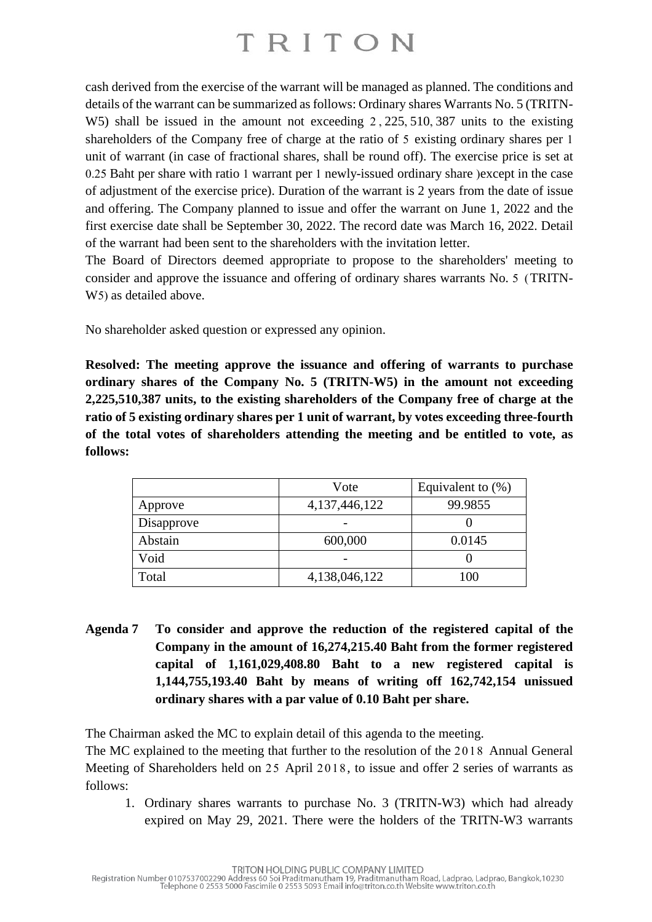cash derived from the exercise of the warrant will be managed as planned. The conditions and details of the warrant can be summarized as follows: Ordinary shares Warrants No. 5 (TRITN-W5) shall be issued in the amount not exceeding 2 , 225, 510, 387 units to the existing shareholders of the Company free of charge at the ratio of 5 existing ordinary shares per 1 unit of warrant (in case of fractional shares, shall be round off). The exercise price is set at 0.25 Baht per share with ratio 1 warrant per 1 newly-issued ordinary share ) except in the case of adjustment of the exercise price). Duration of the warrant is 2 years from the date of issue and offering. The Company planned to issue and offer the warrant on June 1, 2022 and the first exercise date shall be September 30, 2022. The record date was March 16, 2022. Detail of the warrant had been sent to the shareholders with the invitation letter.

The Board of Directors deemed appropriate to propose to the shareholders' meeting to consider and approve the issuance and offering of ordinary shares warrants No. 5 (TRITN-W<sub>5</sub>) as detailed above.

No shareholder asked question or expressed any opinion.

**Resolved: The meeting approve the issuance and offering of warrants to purchase ordinary shares of the Company No. 5 (TRITN-W5) in the amount not exceeding 2,225,510,387 units, to the existing shareholders of the Company free of charge at the ratio of 5 existing ordinary shares per 1 unit of warrant, by votes exceeding three-fourth of the total votes of shareholders attending the meeting and be entitled to vote, as follows:**

|            | Vote             | Equivalent to $(\%)$ |
|------------|------------------|----------------------|
| Approve    | 4, 137, 446, 122 | 99.9855              |
| Disapprove |                  |                      |
| Abstain    | 600,000          | 0.0145               |
| Void       |                  |                      |
| Total      | 4,138,046,122    | 100                  |

**Agenda 7 To consider and approve the reduction of the registered capital of the Company in the amount of 16,274,215.40 Baht from the former registered capital of 1,161,029,408.80 Baht to a new registered capital is 1,144,755,193.40 Baht by means of writing off 162,742,154 unissued ordinary shares with a par value of 0.10 Baht per share.**

The Chairman asked the MC to explain detail of this agenda to the meeting.

The MC explained to the meeting that further to the resolution of the 2018 Annual General Meeting of Shareholders held on 25 April 2018, to issue and offer 2 series of warrants as follows:

1. Ordinary shares warrants to purchase No. 3 (TRITN-W3) which had already expired on May 29, 2021. There were the holders of the TRITN-W3 warrants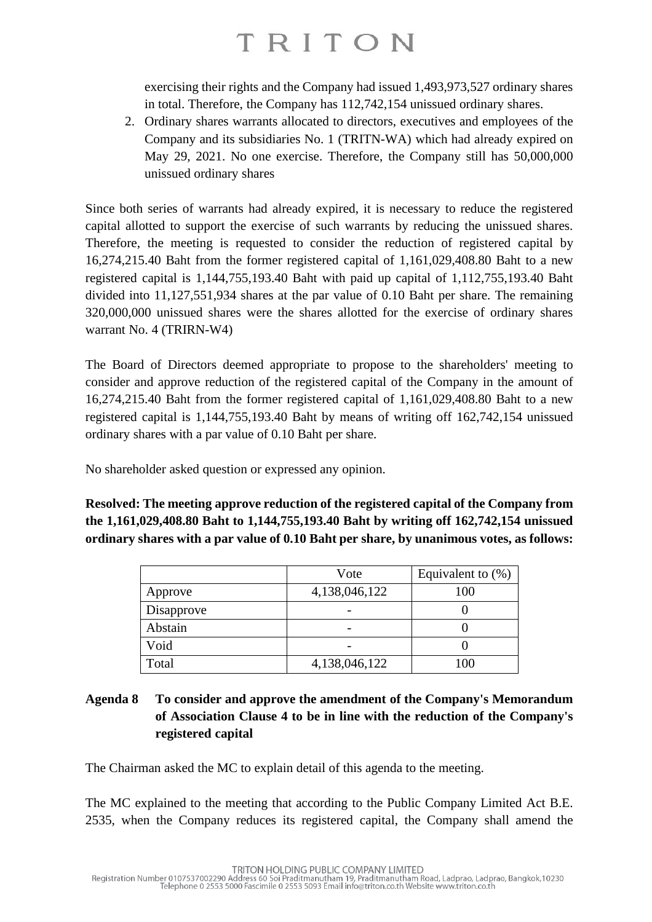exercising their rights and the Company had issued 1,493,973,527 ordinary shares in total. Therefore, the Company has 112,742,154 unissued ordinary shares.

2. Ordinary shares warrants allocated to directors, executives and employees of the Company and its subsidiaries No. 1 (TRITN-WA) which had already expired on May 29, 2021. No one exercise. Therefore, the Company still has 50,000,000 unissued ordinary shares

Since both series of warrants had already expired, it is necessary to reduce the registered capital allotted to support the exercise of such warrants by reducing the unissued shares. Therefore, the meeting is requested to consider the reduction of registered capital by 16,274,215.40 Baht from the former registered capital of 1,161,029,408.80 Baht to a new registered capital is 1,144,755,193.40 Baht with paid up capital of 1,112,755,193.40 Baht divided into 11,127,551,934 shares at the par value of 0.10 Baht per share. The remaining 320,000,000 unissued shares were the shares allotted for the exercise of ordinary shares warrant No. 4 (TRIRN-W4)

The Board of Directors deemed appropriate to propose to the shareholders' meeting to consider and approve reduction of the registered capital of the Company in the amount of 16,274,215.40 Baht from the former registered capital of 1,161,029,408.80 Baht to a new registered capital is 1,144,755,193.40 Baht by means of writing off 162,742,154 unissued ordinary shares with a par value of 0.10 Baht per share.

No shareholder asked question or expressed any opinion.

**Resolved: The meeting approve reduction of the registered capital of the Company from the 1,161,029,408.80 Baht to 1,144,755,193.40 Baht by writing off 162,742,154 unissued ordinary shares with a par value of 0.10 Baht per share, by unanimous votes, as follows:**

|            | Vote          | Equivalent to $(\%)$ |
|------------|---------------|----------------------|
| Approve    | 4,138,046,122 | 100                  |
| Disapprove |               |                      |
| Abstain    |               |                      |
| Void       |               |                      |
| Total      | 4,138,046,122 | 100                  |

### **Agenda 8 To consider and approve the amendment of the Company's Memorandum of Association Clause 4 to be in line with the reduction of the Company's registered capital**

The Chairman asked the MC to explain detail of this agenda to the meeting.

The MC explained to the meeting that according to the Public Company Limited Act B.E. 2535, when the Company reduces its registered capital, the Company shall amend the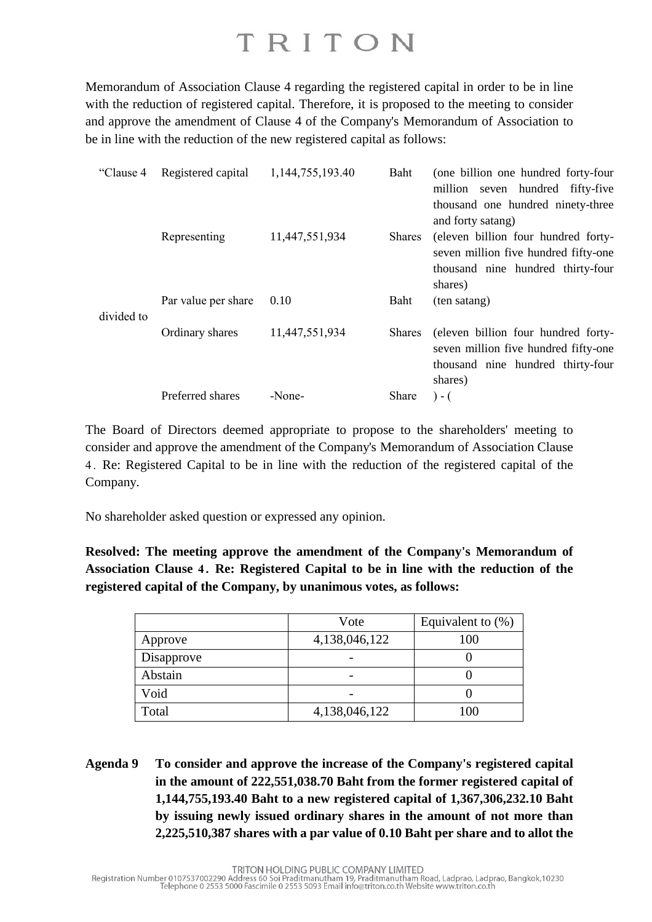Memorandum of Association Clause 4 regarding the registered capital in order to be in line with the reduction of registered capital. Therefore, it is proposed to the meeting to consider and approve the amendment of Clause 4 of the Company's Memorandum of Association to be in line with the reduction of the new registered capital as follows:

| "Clause 4  | Registered capital  | 1,144,755,193.40 | Baht          | (one billion one hundred forty-four  |
|------------|---------------------|------------------|---------------|--------------------------------------|
|            |                     |                  |               | million seven hundred fifty-five     |
|            |                     |                  |               | thousand one hundred ninety-three    |
|            |                     |                  |               | and forty satang)                    |
|            | Representing        | 11,447,551,934   | <b>Shares</b> | (eleven billion four hundred forty-  |
|            |                     |                  |               | seven million five hundred fifty-one |
|            |                     |                  |               | thousand nine hundred thirty-four    |
|            |                     |                  |               | shares)                              |
|            | Par value per share | 0.10             | Baht          | (ten satang)                         |
| divided to |                     |                  |               |                                      |
|            | Ordinary shares     | 11,447,551,934   | <b>Shares</b> | (eleven billion four hundred forty-  |
|            |                     |                  |               | seven million five hundred fifty-one |
|            |                     |                  |               | thousand nine hundred thirty-four    |
|            |                     |                  |               | shares)                              |
|            | Preferred shares    | -None-           | Share         | $) - ($                              |
|            |                     |                  |               |                                      |

The Board of Directors deemed appropriate to propose to the shareholders' meeting to consider and approve the amendment of the Company's Memorandum of Association Clause 4 . Re: Registered Capital to be in line with the reduction of the registered capital of the Company.

No shareholder asked question or expressed any opinion.

**Resolved: The meeting approve the amendment of the Company's Memorandum of Association Clause 4 . Re: Registered Capital to be in line with the reduction of the registered capital of the Company, by unanimous votes, as follows:**

|            | Vote          | Equivalent to $(\%)$ |
|------------|---------------|----------------------|
| Approve    | 4,138,046,122 | 100                  |
| Disapprove |               |                      |
| Abstain    |               |                      |
| Void       |               |                      |
| Total      | 4,138,046,122 | 100                  |

**Agenda 9 To consider and approve the increase of the Company's registered capital in the amount of 222,551,038.70 Baht from the former registered capital of 1,144,755,193.40 Baht to a new registered capital of 1,367,306,232.10 Baht by issuing newly issued ordinary shares in the amount of not more than 2,225,510,387 shares with a par value of 0.10 Baht per share and to allot the**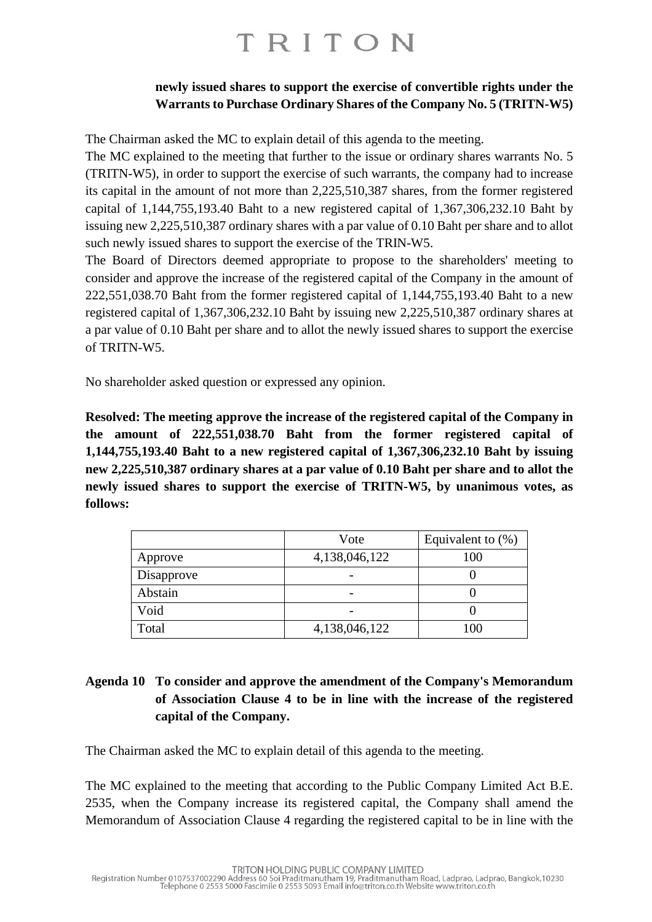### **newly issued shares to support the exercise of convertible rights under the Warrants to Purchase Ordinary Shares of the Company No. 5 (TRITN-W5)**

The Chairman asked the MC to explain detail of this agenda to the meeting.

The MC explained to the meeting that further to the issue or ordinary shares warrants No. 5 (TRITN-W5), in order to support the exercise of such warrants, the company had to increase its capital in the amount of not more than 2,225,510,387 shares, from the former registered capital of 1,144,755,193.40 Baht to a new registered capital of 1,367,306,232.10 Baht by issuing new 2,225,510,387 ordinary shares with a par value of 0.10 Baht per share and to allot such newly issued shares to support the exercise of the TRIN-W5.

The Board of Directors deemed appropriate to propose to the shareholders' meeting to consider and approve the increase of the registered capital of the Company in the amount of 222,551,038.70 Baht from the former registered capital of 1,144,755,193.40 Baht to a new registered capital of 1,367,306,232.10 Baht by issuing new 2,225,510,387 ordinary shares at a par value of 0.10 Baht per share and to allot the newly issued shares to support the exercise of TRITN-W5.

No shareholder asked question or expressed any opinion.

**Resolved: The meeting approve the increase of the registered capital of the Company in the amount of 222,551,038.70 Baht from the former registered capital of 1,144,755,193.40 Baht to a new registered capital of 1,367,306,232.10 Baht by issuing new 2,225,510,387 ordinary shares at a par value of 0.10 Baht per share and to allot the newly issued shares to support the exercise of TRITN-W5, by unanimous votes, as follows:**

|            | Vote          | Equivalent to $(\%)$ |
|------------|---------------|----------------------|
| Approve    | 4,138,046,122 | 100                  |
| Disapprove |               |                      |
| Abstain    |               |                      |
| Void       |               |                      |
| Total      | 4,138,046,122 | 100                  |

### **Agenda 10 To consider and approve the amendment of the Company's Memorandum of Association Clause 4 to be in line with the increase of the registered capital of the Company.**

The Chairman asked the MC to explain detail of this agenda to the meeting.

The MC explained to the meeting that according to the Public Company Limited Act B.E. 2535, when the Company increase its registered capital, the Company shall amend the Memorandum of Association Clause 4 regarding the registered capital to be in line with the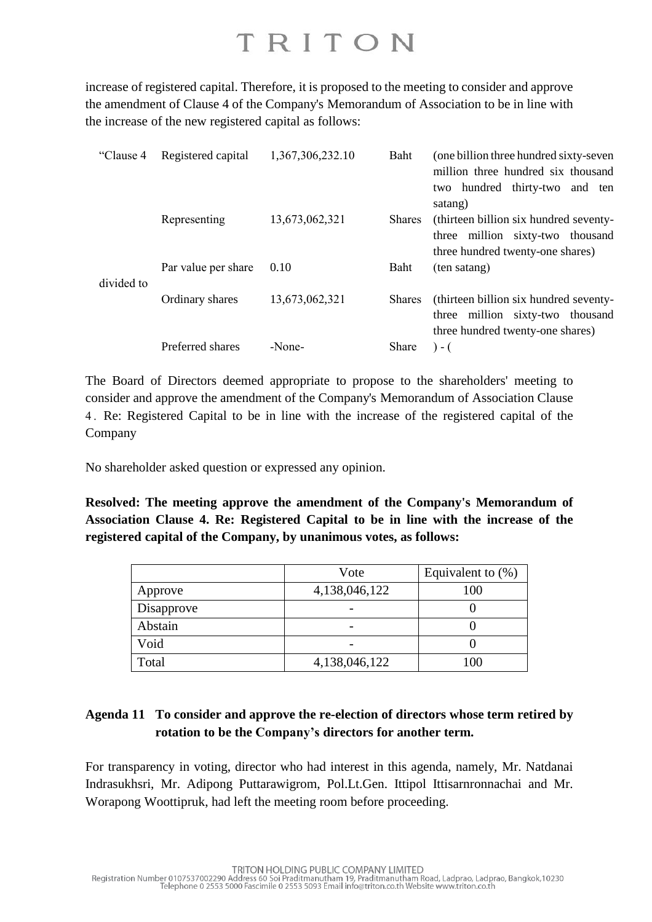increase of registered capital. Therefore, it is proposed to the meeting to consider and approve the amendment of Clause 4 of the Company's Memorandum of Association to be in line with the increase of the new registered capital as follows:

| "Clause 4  | Registered capital  | 1,367,306,232.10 | Baht          | (one billion three hundred sixty-seven)<br>million three hundred six thousand<br>two hundred thirty-two and ten<br>satang) |
|------------|---------------------|------------------|---------------|----------------------------------------------------------------------------------------------------------------------------|
|            | Representing        | 13,673,062,321   | <b>Shares</b> | (thirteen billion six hundred seventy-<br>three million sixty-two thousand<br>three hundred twenty-one shares)             |
| divided to | Par value per share | 0.10             | Baht          | (ten satang)                                                                                                               |
|            | Ordinary shares     | 13,673,062,321   | <b>Shares</b> | (thirteen billion six hundred seventy-<br>million sixty-two thousand<br>three<br>three hundred twenty-one shares)          |
|            | Preferred shares    | -None-           | Share         | $) - ($                                                                                                                    |

The Board of Directors deemed appropriate to propose to the shareholders' meeting to consider and approve the amendment of the Company's Memorandum of Association Clause 4 . Re: Registered Capital to be in line with the increase of the registered capital of the Company

No shareholder asked question or expressed any opinion.

**Resolved: The meeting approve the amendment of the Company's Memorandum of Association Clause 4. Re: Registered Capital to be in line with the increase of the registered capital of the Company, by unanimous votes, as follows:**

|            | Vote          | Equivalent to $(\%)$ |
|------------|---------------|----------------------|
| Approve    | 4,138,046,122 | 100                  |
| Disapprove |               |                      |
| Abstain    |               |                      |
| Void       |               |                      |
| Total      | 4,138,046,122 | 100                  |

### **Agenda 11 To consider and approve the re-election of directors whose term retired by rotation to be the Company's directors for another term.**

For transparency in voting, director who had interest in this agenda, namely, Mr. Natdanai Indrasukhsri, Mr. Adipong Puttarawigrom, Pol.Lt.Gen. Ittipol Ittisarnronnachai and Mr. Worapong Woottipruk, had left the meeting room before proceeding.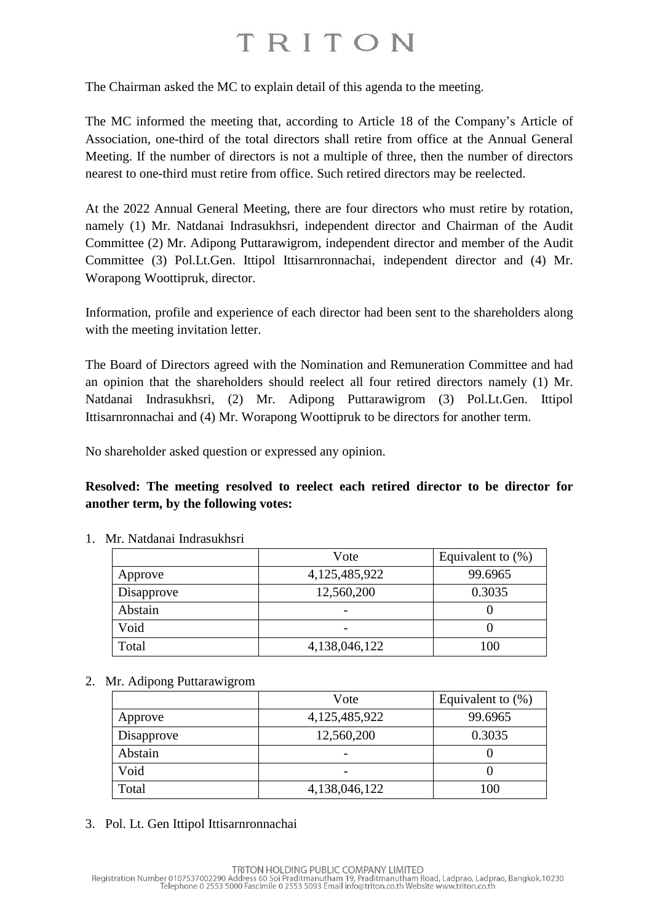The Chairman asked the MC to explain detail of this agenda to the meeting.

The MC informed the meeting that, according to Article 18 of the Company's Article of Association, one-third of the total directors shall retire from office at the Annual General Meeting. If the number of directors is not a multiple of three, then the number of directors nearest to one-third must retire from office. Such retired directors may be reelected.

At the 2022 Annual General Meeting, there are four directors who must retire by rotation, namely (1) Mr. Natdanai Indrasukhsri, independent director and Chairman of the Audit Committee (2) Mr. Adipong Puttarawigrom, independent director and member of the Audit Committee (3) Pol.Lt.Gen. Ittipol Ittisarnronnachai, independent director and (4) Mr. Worapong Woottipruk, director.

Information, profile and experience of each director had been sent to the shareholders along with the meeting invitation letter.

The Board of Directors agreed with the Nomination and Remuneration Committee and had an opinion that the shareholders should reelect all four retired directors namely (1) Mr. Natdanai Indrasukhsri, (2) Mr. Adipong Puttarawigrom (3) Pol.Lt.Gen. Ittipol Ittisarnronnachai and (4) Mr. Worapong Woottipruk to be directors for another term.

No shareholder asked question or expressed any opinion.

**Resolved: The meeting resolved to reelect each retired director to be director for another term, by the following votes:**

|            | Vote          | Equivalent to $(\%)$ |
|------------|---------------|----------------------|
| Approve    | 4,125,485,922 | 99.6965              |
| Disapprove | 12,560,200    | 0.3035               |
| Abstain    |               |                      |
| Void       |               |                      |
| Total      | 4,138,046,122 | 100                  |

1. Mr. Natdanai Indrasukhsri

2. Mr. Adipong Puttarawigrom

|            | Vote          | Equivalent to $(\%)$ |
|------------|---------------|----------------------|
| Approve    | 4,125,485,922 | 99.6965              |
| Disapprove | 12,560,200    | 0.3035               |
| Abstain    |               |                      |
| Void       |               |                      |
| Total      | 4,138,046,122 | 100                  |

3. Pol. Lt. Gen Ittipol Ittisarnronnachai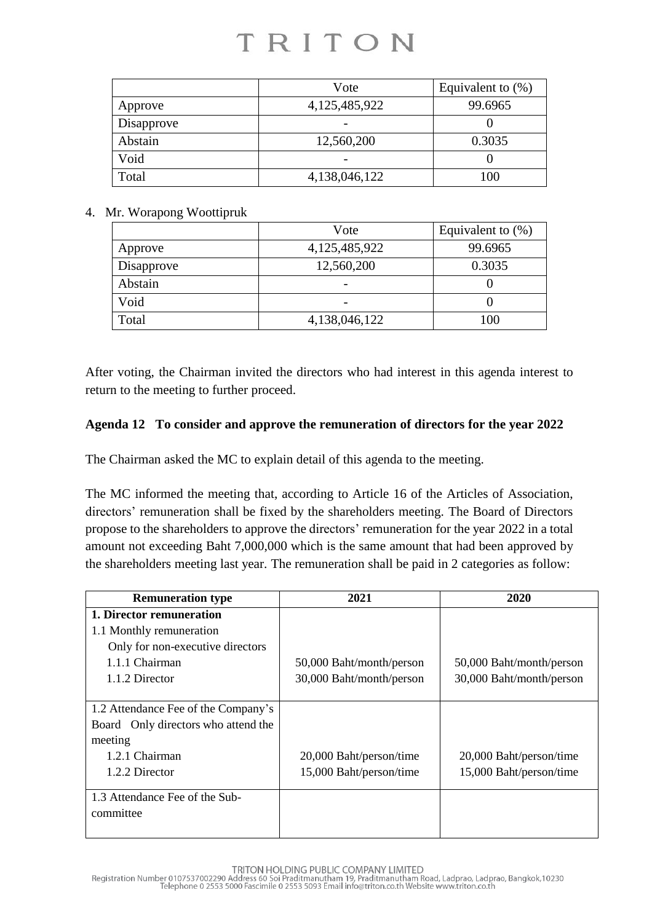|            | Vote          | Equivalent to $(\%)$ |
|------------|---------------|----------------------|
| Approve    | 4,125,485,922 | 99.6965              |
| Disapprove |               |                      |
| Abstain    | 12,560,200    | 0.3035               |
| Void       |               |                      |
| Total      | 4,138,046,122 | 100                  |

#### 4. Mr. Worapong Woottipruk

|            | Vote          | Equivalent to $(\%)$ |
|------------|---------------|----------------------|
| Approve    | 4,125,485,922 | 99.6965              |
| Disapprove | 12,560,200    | 0.3035               |
| Abstain    |               |                      |
| Void       |               |                      |
| Total      | 4,138,046,122 | 100                  |

After voting, the Chairman invited the directors who had interest in this agenda interest to return to the meeting to further proceed.

### **Agenda 12 To consider and approve the remuneration of directors for the year 2022**

The Chairman asked the MC to explain detail of this agenda to the meeting.

The MC informed the meeting that, according to Article 16 of the Articles of Association, directors' remuneration shall be fixed by the shareholders meeting. The Board of Directors propose to the shareholders to approve the directors' remuneration for the year 2022 in a total amount not exceeding Baht 7,000,000 which is the same amount that had been approved by the shareholders meeting last year. The remuneration shall be paid in 2 categories as follow:

| <b>Remuneration type</b>            | 2021                     | 2020                     |
|-------------------------------------|--------------------------|--------------------------|
| 1. Director remuneration            |                          |                          |
| 1.1 Monthly remuneration            |                          |                          |
| Only for non-executive directors    |                          |                          |
| 1.1.1 Chairman                      | 50,000 Baht/month/person | 50,000 Baht/month/person |
| 1.1.2 Director                      | 30,000 Baht/month/person | 30,000 Baht/month/person |
|                                     |                          |                          |
| 1.2 Attendance Fee of the Company's |                          |                          |
| Board Only directors who attend the |                          |                          |
| meeting                             |                          |                          |
| 1.2.1 Chairman                      | 20,000 Baht/person/time  | 20,000 Baht/person/time  |
| 1.2.2 Director                      | 15,000 Baht/person/time  | 15,000 Baht/person/time  |
|                                     |                          |                          |
| 1.3 Attendance Fee of the Sub-      |                          |                          |
| committee                           |                          |                          |
|                                     |                          |                          |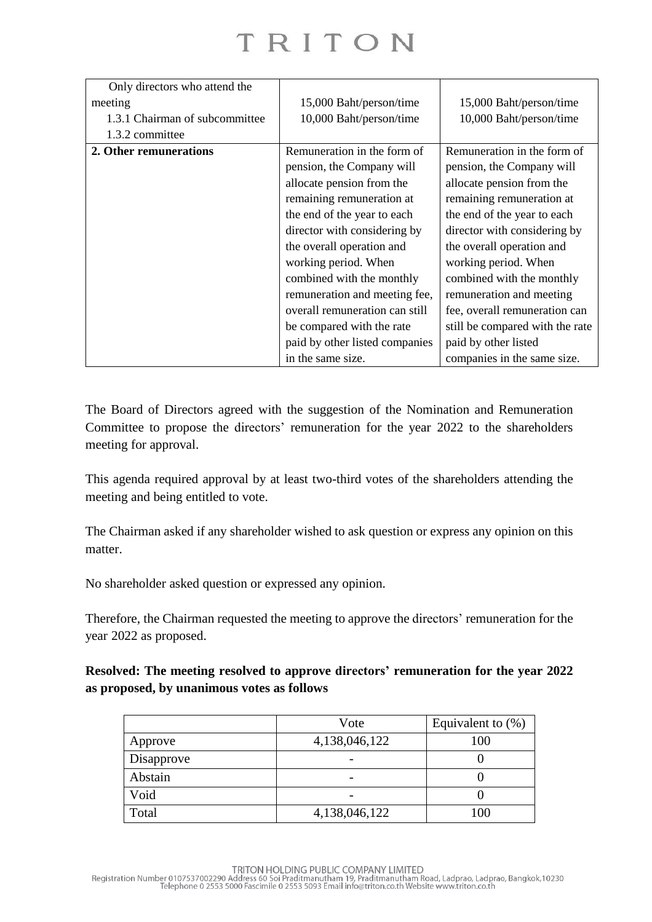| Only directors who attend the  |                                |                                 |
|--------------------------------|--------------------------------|---------------------------------|
| meeting                        | 15,000 Baht/person/time        | 15,000 Baht/person/time         |
| 1.3.1 Chairman of subcommittee | 10,000 Baht/person/time        | 10,000 Baht/person/time         |
| 1.3.2 committee                |                                |                                 |
| 2. Other remunerations         | Remuneration in the form of    | Remuneration in the form of     |
|                                | pension, the Company will      | pension, the Company will       |
|                                | allocate pension from the      | allocate pension from the       |
|                                | remaining remuneration at      | remaining remuneration at       |
|                                | the end of the year to each    | the end of the year to each     |
|                                | director with considering by   | director with considering by    |
|                                | the overall operation and      | the overall operation and       |
|                                | working period. When           | working period. When            |
|                                | combined with the monthly      | combined with the monthly       |
|                                | remuneration and meeting fee,  | remuneration and meeting        |
|                                | overall remuneration can still | fee, overall remuneration can   |
|                                | be compared with the rate      | still be compared with the rate |
|                                | paid by other listed companies | paid by other listed            |
|                                | in the same size.              | companies in the same size.     |

The Board of Directors agreed with the suggestion of the Nomination and Remuneration Committee to propose the directors' remuneration for the year 2022 to the shareholders meeting for approval.

This agenda required approval by at least two-third votes of the shareholders attending the meeting and being entitled to vote.

The Chairman asked if any shareholder wished to ask question or express any opinion on this matter.

No shareholder asked question or expressed any opinion.

Therefore, the Chairman requested the meeting to approve the directors' remuneration for the year 2022 as proposed.

**Resolved: The meeting resolved to approve directors' remuneration for the year 2022 as proposed, by unanimous votes as follows**

|            | Vote          | Equivalent to $(\%)$ |
|------------|---------------|----------------------|
| Approve    | 4,138,046,122 | 100                  |
| Disapprove |               |                      |
| Abstain    |               |                      |
| Void       |               |                      |
| Total      | 4,138,046,122 | 100                  |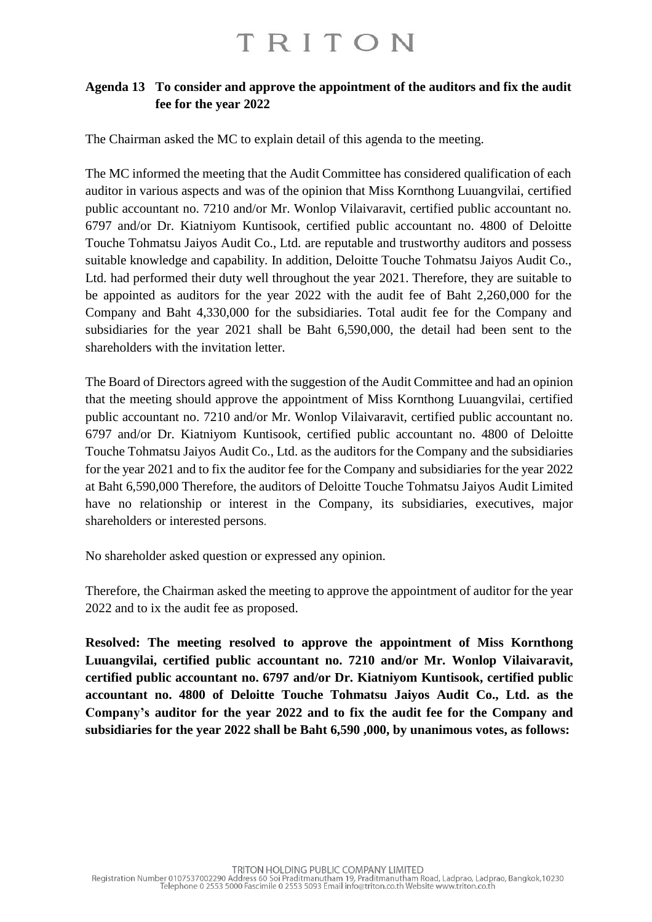### **Agenda 13 To consider and approve the appointment of the auditors and fix the audit fee for the year 2022**

The Chairman asked the MC to explain detail of this agenda to the meeting.

The MC informed the meeting that the Audit Committee has considered qualification of each auditor in various aspects and was of the opinion that Miss Kornthong Luuangvilai, certified public accountant no. 7210 and/or Mr. Wonlop Vilaivaravit, certified public accountant no. 6797 and/or Dr. Kiatniyom Kuntisook, certified public accountant no. 4800 of Deloitte Touche Tohmatsu Jaiyos Audit Co., Ltd. are reputable and trustworthy auditors and possess suitable knowledge and capability. In addition, Deloitte Touche Tohmatsu Jaiyos Audit Co., Ltd. had performed their duty well throughout the year 2021. Therefore, they are suitable to be appointed as auditors for the year 2022 with the audit fee of Baht 2,260,000 for the Company and Baht 4,330,000 for the subsidiaries. Total audit fee for the Company and subsidiaries for the year 2021 shall be Baht 6,590,000, the detail had been sent to the shareholders with the invitation letter.

The Board of Directors agreed with the suggestion of the Audit Committee and had an opinion that the meeting should approve the appointment of Miss Kornthong Luuangvilai, certified public accountant no. 7210 and/or Mr. Wonlop Vilaivaravit, certified public accountant no. 6797 and/or Dr. Kiatniyom Kuntisook, certified public accountant no. 4800 of Deloitte Touche Tohmatsu Jaiyos Audit Co., Ltd. as the auditors for the Company and the subsidiaries for the year 2021 and to fix the auditor fee for the Company and subsidiaries for the year 2022 at Baht 6,590,000 Therefore, the auditors of Deloitte Touche Tohmatsu Jaiyos Audit Limited have no relationship or interest in the Company, its subsidiaries, executives, major shareholders or interested persons.

No shareholder asked question or expressed any opinion.

Therefore, the Chairman asked the meeting to approve the appointment of auditor for the year 2022 and to ix the audit fee as proposed.

**Resolved: The meeting resolved to approve the appointment of Miss Kornthong Luuangvilai, certified public accountant no. 7210 and/or Mr. Wonlop Vilaivaravit, certified public accountant no. 6797 and/or Dr. Kiatniyom Kuntisook, certified public accountant no. 4800 of Deloitte Touche Tohmatsu Jaiyos Audit Co., Ltd. as the Company's auditor for the year 2022 and to fix the audit fee for the Company and subsidiaries for the year 2022 shall be Baht 6,590 ,000, by unanimous votes, as follows:**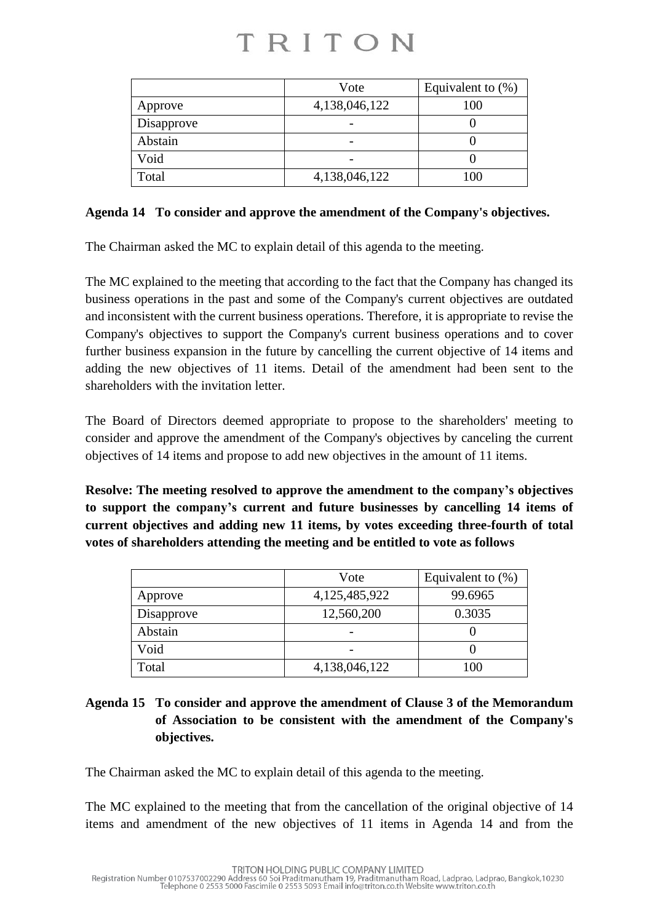|            | Vote          | Equivalent to $(\%)$ |
|------------|---------------|----------------------|
| Approve    | 4,138,046,122 | 100                  |
| Disapprove |               |                      |
| Abstain    |               |                      |
| Void       |               |                      |
| Total      | 4,138,046,122 | 100                  |

### **Agenda 14 To consider and approve the amendment of the Company's objectives.**

The Chairman asked the MC to explain detail of this agenda to the meeting.

The MC explained to the meeting that according to the fact that the Company has changed its business operations in the past and some of the Company's current objectives are outdated and inconsistent with the current business operations. Therefore, it is appropriate to revise the Company's objectives to support the Company's current business operations and to cover further business expansion in the future by cancelling the current objective of 14 items and adding the new objectives of 11 items. Detail of the amendment had been sent to the shareholders with the invitation letter.

The Board of Directors deemed appropriate to propose to the shareholders' meeting to consider and approve the amendment of the Company's objectives by canceling the current objectives of 14 items and propose to add new objectives in the amount of 11 items.

**Resolve: The meeting resolved to approve the amendment to the company's objectives to support the company's current and future businesses by cancelling 14 items of current objectives and adding new 11 items, by votes exceeding three-fourth of total votes of shareholders attending the meeting and be entitled to vote as follows**

|            | Vote          | Equivalent to $(\%)$ |
|------------|---------------|----------------------|
| Approve    | 4,125,485,922 | 99.6965              |
| Disapprove | 12,560,200    | 0.3035               |
| Abstain    |               |                      |
| Void       |               |                      |
| Total      | 4,138,046,122 | 100                  |

### **Agenda 15 To consider and approve the amendment of Clause 3 of the Memorandum of Association to be consistent with the amendment of the Company's objectives.**

The Chairman asked the MC to explain detail of this agenda to the meeting.

The MC explained to the meeting that from the cancellation of the original objective of 14 items and amendment of the new objectives of 11 items in Agenda 14 and from the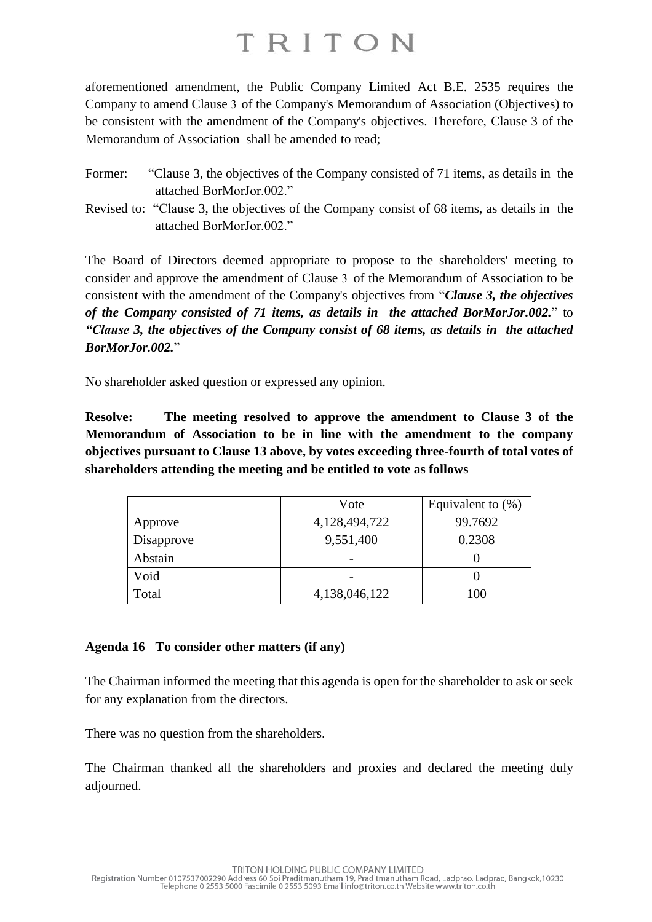aforementioned amendment, the Public Company Limited Act B.E. 2535 requires the Company to amend Clause 3 of the Company's Memorandum of Association (Objectives) to be consistent with the amendment of the Company's objectives. Therefore, Clause 3 of the Memorandum of Association shall be amended to read;

- Former: "Clause 3, the objectives of the Company consisted of 71 items, as details in the attached BorMorJor.002."
- Revised to: "Clause 3, the objectives of the Company consist of 68 items, as details in the attached BorMorJor.002."

The Board of Directors deemed appropriate to propose to the shareholders' meeting to consider and approve the amendment of Clause 3 of the Memorandum of Association to be consistent with the amendment of the Company's objectives from "*Clause 3, the objectives of the Company consisted of 71 items, as details in the attached BorMorJor.002.*" to *"Clause 3, the objectives of the Company consist of 68 items, as details in the attached BorMorJor.002.*"

No shareholder asked question or expressed any opinion.

**Resolve: The meeting resolved to approve the amendment to Clause 3 of the Memorandum of Association to be in line with the amendment to the company objectives pursuant to Clause 13 above, by votes exceeding three-fourth of total votes of shareholders attending the meeting and be entitled to vote as follows**

|            | Vote          | Equivalent to $(\%)$ |
|------------|---------------|----------------------|
| Approve    | 4,128,494,722 | 99.7692              |
| Disapprove | 9,551,400     | 0.2308               |
| Abstain    |               |                      |
| Void       |               |                      |
| Total      | 4,138,046,122 | 100                  |

### **Agenda 16 To consider other matters (if any)**

The Chairman informed the meeting that this agenda is open for the shareholder to ask or seek for any explanation from the directors.

There was no question from the shareholders.

The Chairman thanked all the shareholders and proxies and declared the meeting duly adjourned.